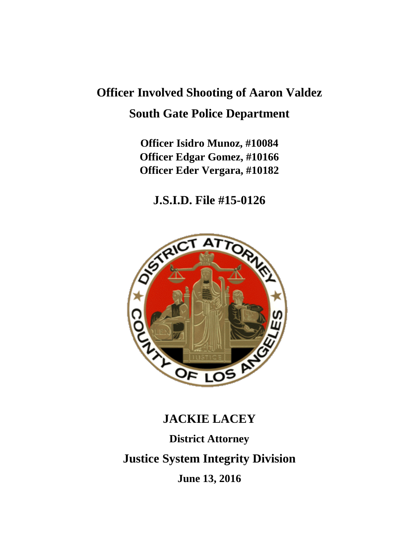# **Officer Involved Shooting of Aaron Valdez South Gate Police Department**

**Officer Isidro Munoz, #10084 Officer Edgar Gomez, #10166 Officer Eder Vergara, #10182**

**J.S.I.D. File #15-0126**



## **JACKIE LACEY**

**District Attorney**

**Justice System Integrity Division**

**June 13, 2016**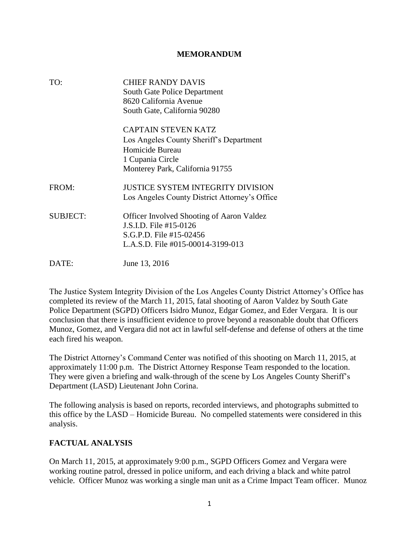#### **MEMORANDUM**

| TO:             | CHIEF RANDY DAVIS<br><b>South Gate Police Department</b> |
|-----------------|----------------------------------------------------------|
|                 | 8620 California Avenue                                   |
|                 | South Gate, California 90280                             |
|                 | <b>CAPTAIN STEVEN KATZ</b>                               |
|                 | Los Angeles County Sheriff's Department                  |
|                 | Homicide Bureau                                          |
|                 | 1 Cupania Circle                                         |
|                 | Monterey Park, California 91755                          |
| FROM:           | <b>JUSTICE SYSTEM INTEGRITY DIVISION</b>                 |
|                 | Los Angeles County District Attorney's Office            |
| <b>SUBJECT:</b> | <b>Officer Involved Shooting of Aaron Valdez</b>         |
|                 | J.S.I.D. File #15-0126                                   |
|                 | S.G.P.D. File #15-02456                                  |
|                 | L.A.S.D. File #015-00014-3199-013                        |
| DATE:           | June 13, 2016                                            |

The Justice System Integrity Division of the Los Angeles County District Attorney's Office has completed its review of the March 11, 2015, fatal shooting of Aaron Valdez by South Gate Police Department (SGPD) Officers Isidro Munoz, Edgar Gomez, and Eder Vergara. It is our conclusion that there is insufficient evidence to prove beyond a reasonable doubt that Officers Munoz, Gomez, and Vergara did not act in lawful self-defense and defense of others at the time each fired his weapon.

The District Attorney's Command Center was notified of this shooting on March 11, 2015, at approximately 11:00 p.m. The District Attorney Response Team responded to the location. They were given a briefing and walk-through of the scene by Los Angeles County Sheriff's Department (LASD) Lieutenant John Corina.

The following analysis is based on reports, recorded interviews, and photographs submitted to this office by the LASD – Homicide Bureau. No compelled statements were considered in this analysis.

#### **FACTUAL ANALYSIS**

On March 11, 2015, at approximately 9:00 p.m., SGPD Officers Gomez and Vergara were working routine patrol, dressed in police uniform, and each driving a black and white patrol vehicle. Officer Munoz was working a single man unit as a Crime Impact Team officer. Munoz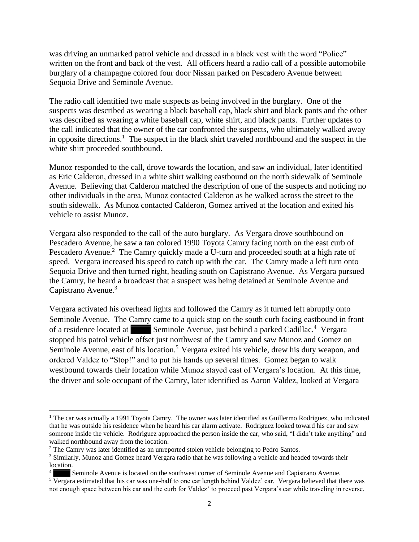was driving an unmarked patrol vehicle and dressed in a black vest with the word "Police" written on the front and back of the vest. All officers heard a radio call of a possible automobile burglary of a champagne colored four door Nissan parked on Pescadero Avenue between Sequoia Drive and Seminole Avenue.

The radio call identified two male suspects as being involved in the burglary. One of the suspects was described as wearing a black baseball cap, black shirt and black pants and the other was described as wearing a white baseball cap, white shirt, and black pants. Further updates to the call indicated that the owner of the car confronted the suspects, who ultimately walked away in opposite directions.<sup>1</sup> The suspect in the black shirt traveled northbound and the suspect in the white shirt proceeded southbound.

Munoz responded to the call, drove towards the location, and saw an individual, later identified as Eric Calderon, dressed in a white shirt walking eastbound on the north sidewalk of Seminole Avenue. Believing that Calderon matched the description of one of the suspects and noticing no other individuals in the area, Munoz contacted Calderon as he walked across the street to the south sidewalk. As Munoz contacted Calderon, Gomez arrived at the location and exited his vehicle to assist Munoz.

Vergara also responded to the call of the auto burglary. As Vergara drove southbound on Pescadero Avenue, he saw a tan colored 1990 Toyota Camry facing north on the east curb of Pescadero Avenue.<sup>2</sup> The Camry quickly made a U-turn and proceeded south at a high rate of speed. Vergara increased his speed to catch up with the car. The Camry made a left turn onto Sequoia Drive and then turned right, heading south on Capistrano Avenue. As Vergara pursued the Camry, he heard a broadcast that a suspect was being detained at Seminole Avenue and Capistrano Avenue.<sup>3</sup>

Vergara activated his overhead lights and followed the Camry as it turned left abruptly onto Seminole Avenue. The Camry came to a quick stop on the south curb facing eastbound in front of a residence located at Seminole Avenue, just behind a parked Cadillac.<sup>4</sup> Vergara stopped his patrol vehicle offset just northwest of the Camry and saw Munoz and Gomez on Seminole Avenue, east of his location.<sup>5</sup> Vergara exited his vehicle, drew his duty weapon, and ordered Valdez to "Stop!" and to put his hands up several times. Gomez began to walk westbound towards their location while Munoz stayed east of Vergara's location. At this time, the driver and sole occupant of the Camry, later identified as Aaron Valdez, looked at Vergara

 $\overline{\phantom{a}}$ 

<sup>&</sup>lt;sup>1</sup> The car was actually a 1991 Toyota Camry. The owner was later identified as Guillermo Rodriguez, who indicated that he was outside his residence when he heard his car alarm activate. Rodriguez looked toward his car and saw someone inside the vehicle. Rodriguez approached the person inside the car, who said, "I didn't take anything" and walked northbound away from the location.

<sup>2</sup> The Camry was later identified as an unreported stolen vehicle belonging to Pedro Santos.

<sup>&</sup>lt;sup>3</sup> Similarly, Munoz and Gomez heard Vergara radio that he was following a vehicle and headed towards their location.

<sup>4</sup> Seminole Avenue is located on the southwest corner of Seminole Avenue and Capistrano Avenue.

 $\frac{5}{10}$  Vergara estimated that his car was one-half to one car length behind Valdez' car. Vergara believed that there was not enough space between his car and the curb for Valdez' to proceed past Vergara's car while traveling in reverse.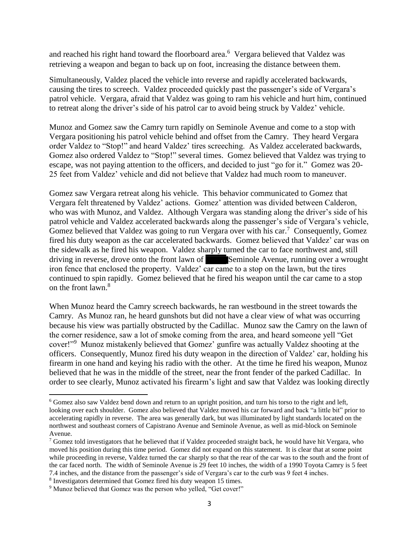and reached his right hand toward the floorboard area. 6 Vergara believed that Valdez was retrieving a weapon and began to back up on foot, increasing the distance between them.

Simultaneously, Valdez placed the vehicle into reverse and rapidly accelerated backwards, causing the tires to screech. Valdez proceeded quickly past the passenger's side of Vergara's patrol vehicle. Vergara, afraid that Valdez was going to ram his vehicle and hurt him, continued to retreat along the driver's side of his patrol car to avoid being struck by Valdez' vehicle.

Munoz and Gomez saw the Camry turn rapidly on Seminole Avenue and come to a stop with Vergara positioning his patrol vehicle behind and offset from the Camry. They heard Vergara order Valdez to "Stop!" and heard Valdez' tires screeching. As Valdez accelerated backwards, Gomez also ordered Valdez to "Stop!" several times. Gomez believed that Valdez was trying to escape, was not paying attention to the officers, and decided to just "go for it." Gomez was 20- 25 feet from Valdez' vehicle and did not believe that Valdez had much room to maneuver.

Gomez saw Vergara retreat along his vehicle. This behavior communicated to Gomez that Vergara felt threatened by Valdez' actions. Gomez' attention was divided between Calderon, who was with Munoz, and Valdez. Although Vergara was standing along the driver's side of his patrol vehicle and Valdez accelerated backwards along the passenger's side of Vergara's vehicle, Gomez believed that Valdez was going to run Vergara over with his car.<sup>7</sup> Consequently, Gomez fired his duty weapon as the car accelerated backwards. Gomez believed that Valdez' car was on the sidewalk as he fired his weapon. Valdez sharply turned the car to face northwest and, still driving in reverse, drove onto the front lawn of Seminole Avenue, running over a wrought iron fence that enclosed the property. Valdez' car came to a stop on the lawn, but the tires continued to spin rapidly. Gomez believed that he fired his weapon until the car came to a stop on the front lawn. 8

When Munoz heard the Camry screech backwards, he ran westbound in the street towards the Camry. As Munoz ran, he heard gunshots but did not have a clear view of what was occurring because his view was partially obstructed by the Cadillac. Munoz saw the Camry on the lawn of the corner residence, saw a lot of smoke coming from the area, and heard someone yell "Get cover!"<sup>9</sup> Munoz mistakenly believed that Gomez' gunfire was actually Valdez shooting at the officers. Consequently, Munoz fired his duty weapon in the direction of Valdez' car, holding his firearm in one hand and keying his radio with the other. At the time he fired his weapon, Munoz believed that he was in the middle of the street, near the front fender of the parked Cadillac. In order to see clearly, Munoz activated his firearm's light and saw that Valdez was looking directly

 $\overline{a}$ 

<sup>6</sup> Gomez also saw Valdez bend down and return to an upright position, and turn his torso to the right and left, looking over each shoulder. Gomez also believed that Valdez moved his car forward and back "a little bit" prior to accelerating rapidly in reverse. The area was generally dark, but was illuminated by light standards located on the northwest and southeast corners of Capistrano Avenue and Seminole Avenue, as well as mid-block on Seminole Avenue.

<sup>&</sup>lt;sup>7</sup> Gomez told investigators that he believed that if Valdez proceeded straight back, he would have hit Vergara, who moved his position during this time period. Gomez did not expand on this statement. It is clear that at some point while proceeding in reverse, Valdez turned the car sharply so that the rear of the car was to the south and the front of the car faced north. The width of Seminole Avenue is 29 feet 10 inches, the width of a 1990 Toyota Camry is 5 feet 7.4 inches, and the distance from the passenger's side of Vergara's car to the curb was 9 feet 4 inches.

<sup>8</sup> Investigators determined that Gomez fired his duty weapon 15 times.

<sup>&</sup>lt;sup>9</sup> Munoz believed that Gomez was the person who yelled, "Get cover!"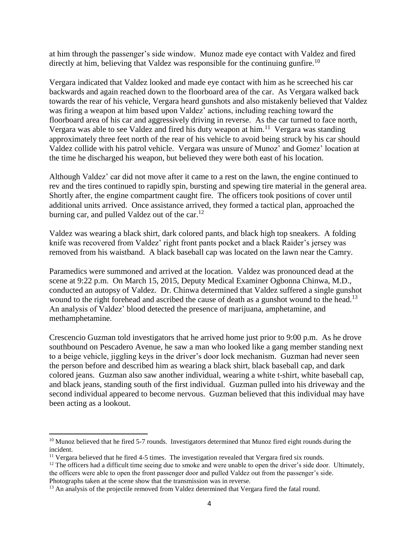at him through the passenger's side window. Munoz made eye contact with Valdez and fired directly at him, believing that Valdez was responsible for the continuing gunfire.<sup>10</sup>

Vergara indicated that Valdez looked and made eye contact with him as he screeched his car backwards and again reached down to the floorboard area of the car. As Vergara walked back towards the rear of his vehicle, Vergara heard gunshots and also mistakenly believed that Valdez was firing a weapon at him based upon Valdez' actions, including reaching toward the floorboard area of his car and aggressively driving in reverse. As the car turned to face north, Vergara was able to see Valdez and fired his duty weapon at him.<sup>11</sup> Vergara was standing approximately three feet north of the rear of his vehicle to avoid being struck by his car should Valdez collide with his patrol vehicle. Vergara was unsure of Munoz' and Gomez' location at the time he discharged his weapon, but believed they were both east of his location.

Although Valdez' car did not move after it came to a rest on the lawn, the engine continued to rev and the tires continued to rapidly spin, bursting and spewing tire material in the general area. Shortly after, the engine compartment caught fire. The officers took positions of cover until additional units arrived. Once assistance arrived, they formed a tactical plan, approached the burning car, and pulled Valdez out of the car. $12$ 

Valdez was wearing a black shirt, dark colored pants, and black high top sneakers. A folding knife was recovered from Valdez' right front pants pocket and a black Raider's jersey was removed from his waistband. A black baseball cap was located on the lawn near the Camry.

Paramedics were summoned and arrived at the location. Valdez was pronounced dead at the scene at 9:22 p.m. On March 15, 2015, Deputy Medical Examiner Ogbonna Chinwa, M.D., conducted an autopsy of Valdez. Dr. Chinwa determined that Valdez suffered a single gunshot wound to the right forehead and ascribed the cause of death as a gunshot wound to the head.<sup>13</sup> An analysis of Valdez' blood detected the presence of marijuana, amphetamine, and methamphetamine.

Crescencio Guzman told investigators that he arrived home just prior to 9:00 p.m. As he drove southbound on Pescadero Avenue, he saw a man who looked like a gang member standing next to a beige vehicle, jiggling keys in the driver's door lock mechanism. Guzman had never seen the person before and described him as wearing a black shirt, black baseball cap, and dark colored jeans. Guzman also saw another individual, wearing a white t-shirt, white baseball cap, and black jeans, standing south of the first individual. Guzman pulled into his driveway and the second individual appeared to become nervous. Guzman believed that this individual may have been acting as a lookout.

 $\overline{\phantom{a}}$ 

<sup>&</sup>lt;sup>10</sup> Munoz believed that he fired 5-7 rounds. Investigators determined that Munoz fired eight rounds during the incident.

<sup>&</sup>lt;sup>11</sup> Vergara believed that he fired 4-5 times. The investigation revealed that Vergara fired six rounds.

 $12$  The officers had a difficult time seeing due to smoke and were unable to open the driver's side door. Ultimately, the officers were able to open the front passenger door and pulled Valdez out from the passenger's side. Photographs taken at the scene show that the transmission was in reverse.

<sup>&</sup>lt;sup>13</sup> An analysis of the projectile removed from Valdez determined that Vergara fired the fatal round.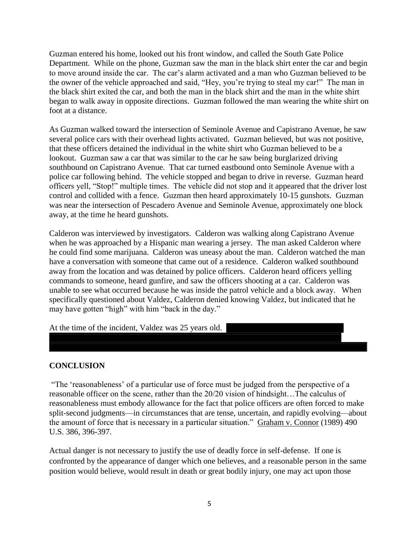Guzman entered his home, looked out his front window, and called the South Gate Police Department. While on the phone, Guzman saw the man in the black shirt enter the car and begin to move around inside the car. The car's alarm activated and a man who Guzman believed to be the owner of the vehicle approached and said, "Hey, you're trying to steal my car!" The man in the black shirt exited the car, and both the man in the black shirt and the man in the white shirt began to walk away in opposite directions. Guzman followed the man wearing the white shirt on foot at a distance.

As Guzman walked toward the intersection of Seminole Avenue and Capistrano Avenue, he saw several police cars with their overhead lights activated. Guzman believed, but was not positive, that these officers detained the individual in the white shirt who Guzman believed to be a lookout. Guzman saw a car that was similar to the car he saw being burglarized driving southbound on Capistrano Avenue. That car turned eastbound onto Seminole Avenue with a police car following behind. The vehicle stopped and began to drive in reverse. Guzman heard officers yell, "Stop!" multiple times. The vehicle did not stop and it appeared that the driver lost control and collided with a fence. Guzman then heard approximately 10-15 gunshots. Guzman was near the intersection of Pescadero Avenue and Seminole Avenue, approximately one block away, at the time he heard gunshots.

Calderon was interviewed by investigators. Calderon was walking along Capistrano Avenue when he was approached by a Hispanic man wearing a jersey. The man asked Calderon where he could find some marijuana. Calderon was uneasy about the man. Calderon watched the man have a conversation with someone that came out of a residence. Calderon walked southbound away from the location and was detained by police officers. Calderon heard officers yelling commands to someone, heard gunfire, and saw the officers shooting at a car. Calderon was unable to see what occurred because he was inside the patrol vehicle and a block away. When specifically questioned about Valdez, Calderon denied knowing Valdez, but indicated that he may have gotten "high" with him "back in the day."

At the time of the incident, Valdez was 25 years old.

### **CONCLUSION**

"The 'reasonableness' of a particular use of force must be judged from the perspective of a reasonable officer on the scene, rather than the 20/20 vision of hindsight…The calculus of reasonableness must embody allowance for the fact that police officers are often forced to make split-second judgments—in circumstances that are tense, uncertain, and rapidly evolving—about the amount of force that is necessary in a particular situation." Graham v. Connor (1989) 490 U.S. 386, 396-397.

Actual danger is not necessary to justify the use of deadly force in self-defense. If one is confronted by the appearance of danger which one believes, and a reasonable person in the same position would believe, would result in death or great bodily injury, one may act upon those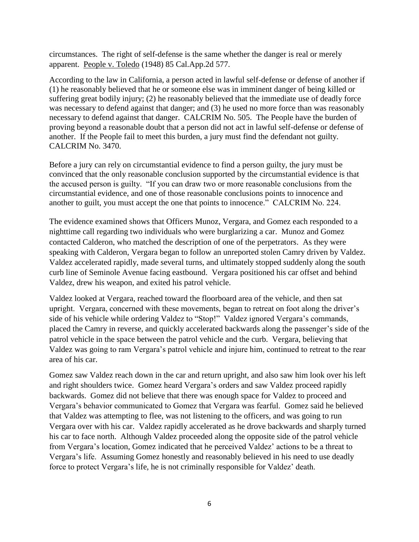circumstances. The right of self-defense is the same whether the danger is real or merely apparent. People v. Toledo (1948) 85 Cal.App.2d 577.

According to the law in California, a person acted in lawful self-defense or defense of another if (1) he reasonably believed that he or someone else was in imminent danger of being killed or suffering great bodily injury; (2) he reasonably believed that the immediate use of deadly force was necessary to defend against that danger; and (3) he used no more force than was reasonably necessary to defend against that danger. CALCRIM No. 505. The People have the burden of proving beyond a reasonable doubt that a person did not act in lawful self-defense or defense of another. If the People fail to meet this burden, a jury must find the defendant not guilty. CALCRIM No. 3470.

Before a jury can rely on circumstantial evidence to find a person guilty, the jury must be convinced that the only reasonable conclusion supported by the circumstantial evidence is that the accused person is guilty. "If you can draw two or more reasonable conclusions from the circumstantial evidence, and one of those reasonable conclusions points to innocence and another to guilt, you must accept the one that points to innocence." CALCRIM No. 224.

The evidence examined shows that Officers Munoz, Vergara, and Gomez each responded to a nighttime call regarding two individuals who were burglarizing a car. Munoz and Gomez contacted Calderon, who matched the description of one of the perpetrators. As they were speaking with Calderon, Vergara began to follow an unreported stolen Camry driven by Valdez. Valdez accelerated rapidly, made several turns, and ultimately stopped suddenly along the south curb line of Seminole Avenue facing eastbound. Vergara positioned his car offset and behind Valdez, drew his weapon, and exited his patrol vehicle.

Valdez looked at Vergara, reached toward the floorboard area of the vehicle, and then sat upright. Vergara, concerned with these movements, began to retreat on foot along the driver's side of his vehicle while ordering Valdez to "Stop!" Valdez ignored Vergara's commands, placed the Camry in reverse, and quickly accelerated backwards along the passenger's side of the patrol vehicle in the space between the patrol vehicle and the curb. Vergara, believing that Valdez was going to ram Vergara's patrol vehicle and injure him, continued to retreat to the rear area of his car.

Gomez saw Valdez reach down in the car and return upright, and also saw him look over his left and right shoulders twice. Gomez heard Vergara's orders and saw Valdez proceed rapidly backwards. Gomez did not believe that there was enough space for Valdez to proceed and Vergara's behavior communicated to Gomez that Vergara was fearful. Gomez said he believed that Valdez was attempting to flee, was not listening to the officers, and was going to run Vergara over with his car. Valdez rapidly accelerated as he drove backwards and sharply turned his car to face north. Although Valdez proceeded along the opposite side of the patrol vehicle from Vergara's location, Gomez indicated that he perceived Valdez' actions to be a threat to Vergara's life. Assuming Gomez honestly and reasonably believed in his need to use deadly force to protect Vergara's life, he is not criminally responsible for Valdez' death.